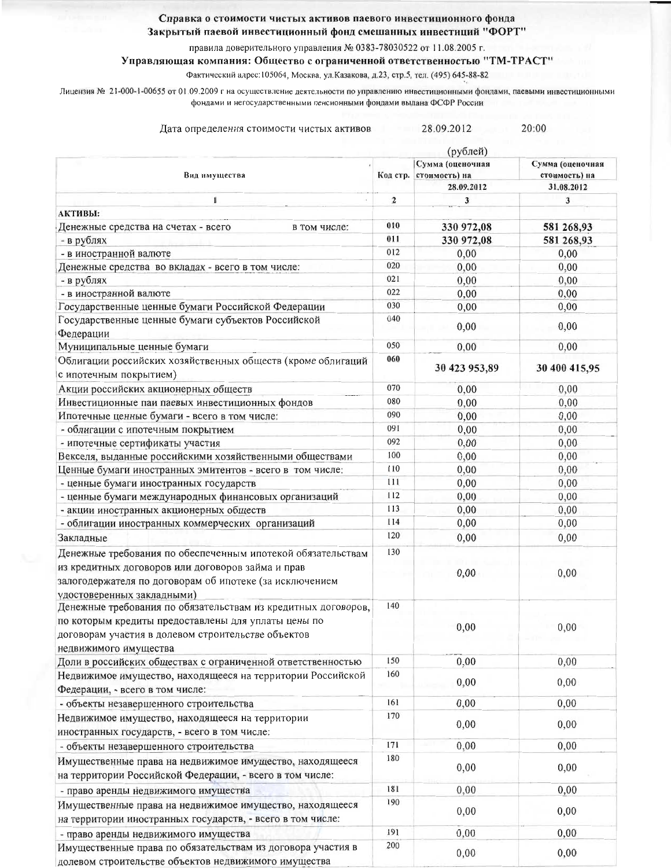## Справка о стоимости чистых активов паевого инвестиционного фонда

Закрытый паевой инвестиционный фонд смешанных инвестиций "ФОРТ"

правила доверительного управления № 0383-78030522 от 11.08.2005 г.

## Управляющая компания: Общество с ограниченной ответственностью "ТМ-ТРАСТ"

Фактический адрес: 105064, Москва, ул. Казакова, д.23, стр.5, тел. (495) 645-88-82

Лицензия № 21-000-1-00655 от 01.09.2009 г на осуществление деятельности по управлению инвестиционными фондами, паевыми инвестиционными фондами и негосударственными пенсионными фондами выдана ФСФР России

| 28.09.2012<br>20:00<br>Дата определения стоимости чистых активов<br>(рублей) |                                                                              |                  |               |  |
|------------------------------------------------------------------------------|------------------------------------------------------------------------------|------------------|---------------|--|
| Вид имущества                                                                | Сумма (оценочная<br>стоимость) на<br>Код стр.<br>стоимость) на<br>28.09.2012 | Сумма (оценочная |               |  |
|                                                                              |                                                                              |                  | 31.08.2012    |  |
| 1                                                                            | $\boldsymbol{2}$                                                             | 3                | 3             |  |
| АКТИВЫ:                                                                      |                                                                              |                  |               |  |
| Денежные средства на счетах - всего<br>в том числе:                          | 010                                                                          | 330 972,08       | 581 268,93    |  |
| - в рублях                                                                   | 011                                                                          | 330 972,08       | 581 268,93    |  |
| - в иностранной валюте                                                       | 012                                                                          | 0,00             | 0,00          |  |
| Денежные средства во вкладах - всего в том числе:                            | 020                                                                          | 0,00             | 0,00          |  |
| - в рублях                                                                   | 021                                                                          | 0,00             | 0,00          |  |
| - в иностранной валюте                                                       | 022                                                                          | 0,00             | 0,00          |  |
| Государственные ценные бумаги Российской Федерации                           | 030                                                                          | 0,00             | 0,00          |  |
| Государственные ценные бумаги субъектов Российской                           | 040                                                                          | 0,00             | 0,00          |  |
| Федерации                                                                    |                                                                              |                  |               |  |
| Муниципальные ценные бумаги                                                  | 050                                                                          | 0,00             | 0,00          |  |
| Облигации российских хозяйственных обществ (кроме облигаций                  | 060                                                                          |                  |               |  |
| с ипотечным покрытием)                                                       |                                                                              | 30 423 953,89    | 30 400 415,95 |  |
| Акции российских акционерных обществ                                         | 070                                                                          | 0,00             | 0,00          |  |
| Инвестиционные паи паевых инвестиционных фондов                              | 080                                                                          | 0,00             | 0,00          |  |
| Ипотечные ценные бумаги - всего в том числе:                                 | 090                                                                          | 0,00             | 0,00          |  |
| - облигации с ипотечным покрытием                                            | 091                                                                          | 0,00             | 0,00          |  |
| - ипотечные сертификаты участия                                              | 092                                                                          | 0,00             | 0,00          |  |
| Векселя, выданные российскими хозяйственными обществами                      | 100                                                                          | 0,00             | 0,00          |  |
| Ценные бумаги иностранных эмитентов - всего в том числе:                     | 110                                                                          | 0,00             | 0,00          |  |
| - ценные бумаги иностранных государств                                       | 111                                                                          | 0,00             | 0,00          |  |
| - ценные бумаги международных финансовых организаций                         | 112                                                                          | 0,00             | 0,00          |  |
| - акции иностранных акционерных обществ                                      | 113                                                                          | 0,00             | 0,00          |  |
| - облигации иностранных коммерческих организаций                             | 114                                                                          | 0,00             | 0,00          |  |
| Закладные                                                                    | 120                                                                          | 0,00             | 0,00          |  |
| Денежные требования по обеспеченным ипотекой обязательствам                  | 130                                                                          |                  |               |  |
| из кредитных договоров или договоров займа и прав                            |                                                                              |                  |               |  |
| залогодержателя по договорам об ипотеке (за исключением                      |                                                                              | 0,00             | 0,00          |  |
| удостоверенных закладными)                                                   |                                                                              |                  |               |  |
| Денежные требования по обязательствам из кредитных договоров,                | 140                                                                          |                  |               |  |
| по которым кредиты предоставлены для уплаты цены по                          |                                                                              |                  |               |  |
| договорам участия в долевом строительстве объектов                           |                                                                              | 0,00             | 0,00          |  |
| недвижимого имущества                                                        |                                                                              |                  |               |  |
| Доли в российских обществах с ограниченной ответственностью                  | 150                                                                          | 0,00             | 0,00          |  |
| Недвижимое имущество, находящееся на территории Российской                   | 160                                                                          |                  |               |  |
| Федерации, - всего в том числе:                                              |                                                                              | 0,00             | 0,00          |  |
| - объекты незавершенного строительства                                       | 161                                                                          | 0,00             | 0,00          |  |
| Недвижимое имущество, находящееся на территории                              | 170                                                                          |                  |               |  |
| иностранных государств, - всего в том числе:                                 |                                                                              | 0,00             | 0,00          |  |
| - объекты незавершенного строительства                                       | 171                                                                          | 0,00             | 0,00          |  |
|                                                                              | 180                                                                          |                  |               |  |
| Имущественные права на недвижимое имущество, находящееся                     |                                                                              | 0,00             | 0,00          |  |
| на территории Российской Федерации, - всего в том числе:                     |                                                                              |                  |               |  |
| - право аренды недвижимого имущества                                         | 181                                                                          | 0,00             | 0,00          |  |
| Имущественные права на недвижимое имущество, находящееся                     | 190                                                                          | 0,00             | 0,00          |  |
| на территории иностранных государств, - всего в том числе:                   |                                                                              |                  |               |  |
| - право аренды недвижимого имущества                                         | 191                                                                          | 0,00             | 0,00          |  |
| Имущественные права по обязательствам из договора участия в                  | 200                                                                          | 0,00             | 0,00          |  |
| долевом строительстве объектов недвижимого имущества                         |                                                                              |                  |               |  |